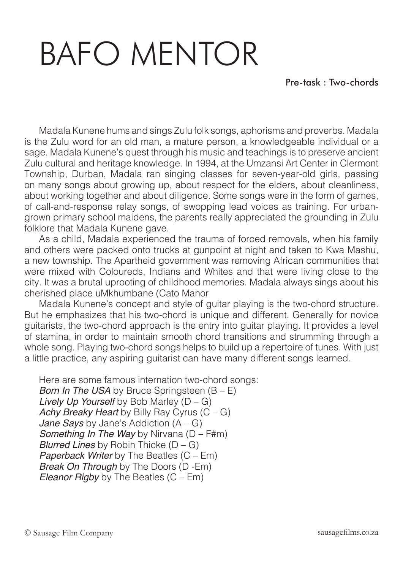## BAFO MENTOR

Madala Kunene hums and sings Zulu folk songs, aphorisms and proverbs. Madala is the Zulu word for an old man, a mature person, a knowledgeable individual or a sage. Madala Kunene's quest through his music and teachings is to preserve ancient Zulu cultural and heritage knowledge. In 1994, at the Umzansi Art Center in Clermont Township, Durban, Madala ran singing classes for seven-year-old girls, passing on many songs about growing up, about respect for the elders, about cleanliness, about working together and about diligence. Some songs were in the form of games, of call-and-response relay songs, of swopping lead voices as training. For urbangrown primary school maidens, the parents really appreciated the grounding in Zulu folklore that Madala Kunene gave.

As a child, Madala experienced the trauma of forced removals, when his family and others were packed onto trucks at gunpoint at night and taken to Kwa Mashu, a new township. The Apartheid government was removing African communities that were mixed with Coloureds, Indians and Whites and that were living close to the city. It was a brutal uprooting of childhood memories. Madala always sings about his cherished place uMkhumbane (Cato Manor

Madala Kunene's concept and style of guitar playing is the two-chord structure. But he emphasizes that his two-chord is unique and different. Generally for novice guitarists, the two-chord approach is the entry into guitar playing. It provides a level of stamina, in order to maintain smooth chord transitions and strumming through a whole song. Playing two-chord songs helps to build up a repertoire of tunes. With just a little practice, any aspiring guitarist can have many different songs learned.

Here are some famous internation two-chord songs: *Born In The USA* by Bruce Springsteen (B – E) *Lively Up Yourself* by Bob Marley (D – G) *Achy Breaky Heart* by Billy Ray Cyrus (C – G) *Jane Says* by Jane's Addiction (A – G) *Something In The Way* by Nirvana (D – F#m) *Blurred Lines* by Robin Thicke (D – G) *Paperback Writer* by The Beatles (C – Em) *Break On Through* by The Doors (D -Em) *Eleanor Rigby* by The Beatles (C – Em)